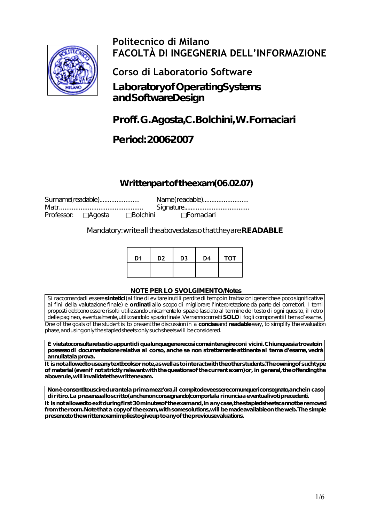

# **Politecnico di Milano FACOLTÀ DI INGEGNERIA DELL'INFORMAZIONE**

**Corso di Laboratorio Software**

**Laboratory of Operating Systems and Software Design**

# **Proff. G.Agosta, C.Bolchini, W.Fornaciari**

## **Period: 2006-2007**

## Written part of the exam (06.02.07)

| Surname(readable)   |                 | Name(readable) |  |
|---------------------|-----------------|----------------|--|
|                     |                 |                |  |
| Professor: □ Agosta | $\Box$ Bolchini | ⊟Fornaciari    |  |

Mandatory: write all the above data so that they are **READABLE**

| D <sub>1</sub> | D <sub>2</sub> | D <sub>3</sub> | D <sub>4</sub> | <b>TOT</b> |
|----------------|----------------|----------------|----------------|------------|
|                |                |                |                |            |

#### **NOTE PER LO SVOLGIMENTO/Notes**

Si raccomandadi essere sintetici (al fine di evitare inutili perdite di tempo in trattazioni generiche e poco significative ai fini della valutazione finale) e **ordinati** allo scopo di migliorare l'interpretazione da parte dei correttori. I temi proposti debbono essere risolti utilizzando unicamente lo spazio lasciato al termine del testo di ogni quesito, il retro delle pagineo, eventualmente, utilizzandolo spazio finale. Verranno corretti **SOLO** i fogli componenti il temad'esame. One of the goals of the student is to present the discussion in a **concise** and **readable** way, to simplify the evaluation phase, and using only the stapled sheets: only such sheets will be considered.

È vietato consultare testi o appunti di qualunque genere così come interagire con i vicini. Chiunque sia trovato in **possesso di documentazione relativa al corso, anche se non strettamente attinente al tema d'esame, vedrà annullatala prova.** 

It is not allowed to use any textbooks or note, as well as to interact with the other students. The owning of such type of material (even if not strictly relevant with the questions of the current exam) or, in general, the offending the aboverule, will invalidate the written exam.

**Non è consentito uscire durante la prima mezz'ora, il compito deve essere comunque riconsegnato, anche in caso di ritiro. La presenza allo scritto (anche non consegnando) comporta la rinuncia a eventuali voti precedenti.** It is not allowed to exit during first 30 minutes of the exam and, in any case, the stapled sheets cannot be removed **from the room. Note that a copy of the exam, with some solutions, will be made available on the web. The simple**

**presence to the written exam implies to give up to any of the previous evaluations.**

1/6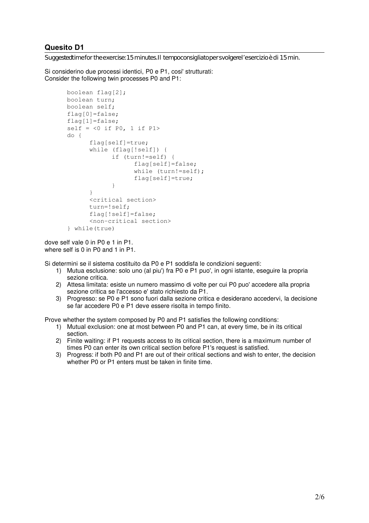Suggested time for the exercise: 15 minutes. Il tempo consigliato per svolgere l'esercizio è di 15 min.

Si considerino due processi identici, P0 e P1, cosi' strutturati: Consider the following twin processes P0 and P1:

```
boolean flag[2];
boolean turn;
boolean self;
flag[0]=false;
flag[1]=false;
self = <0 if P0, 1 if P1>
do {
      flag[self]=true;
      while (flag[!self]) {
            if (turn!=self) {
                   flag[self]=false;
                  while (turn!=self);
                   flag[self]=true;
            }
      }
      <critical section>
      turn=!self;
      flag[!self]=false;
      <non-critical section>
} while(true)
```
dove self vale 0 in P0 e 1 in P1. where self is 0 in P0 and 1 in P1.

Si determini se il sistema costituito da P0 e P1 soddisfa le condizioni seguenti:

- 1) Mutua esclusione: solo uno (al piu') fra P0 e P1 puo', in ogni istante, eseguire la propria sezione critica.
- 2) Attesa limitata: esiste un numero massimo di volte per cui P0 puo' accedere alla propria sezione critica se l'accesso e' stato richiesto da P1.
- 3) Progresso: se P0 e P1 sono fuori dalla sezione critica e desiderano accedervi, la decisione se far accedere P0 e P1 deve essere risolta in tempo finito.

Prove whether the system composed by P0 and P1 satisfies the following conditions:

- 1) Mutual exclusion: one at most between P0 and P1 can, at every time, be in its critical section.
- 2) Finite waiting: if P1 requests access to its critical section, there is a maximum number of times P0 can enter its own critical section before P1's request is satisfied.
- 3) Progress: if both P0 and P1 are out of their critical sections and wish to enter, the decision whether P0 or P1 enters must be taken in finite time.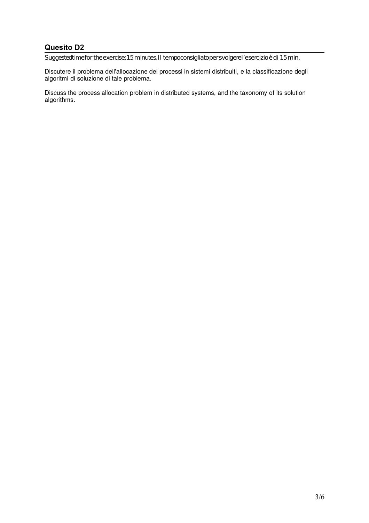Suggested time for the exercise: 15 minutes. Il tempo consigliato per svolgere l'esercizio è di 15 min.

Discutere il problema dell'allocazione dei processi in sistemi distribuiti, e la classificazione degli algoritmi di soluzione di tale problema.

Discuss the process allocation problem in distributed systems, and the taxonomy of its solution algorithms.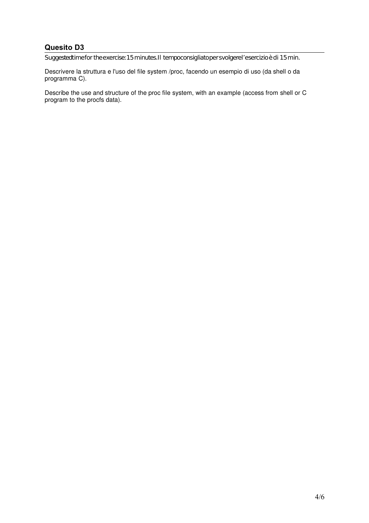Suggested time for the exercise: 15 minutes. Il tempo consigliato per svolgere l'esercizio è di 15 min.

Descrivere la struttura e l'uso del file system /proc, facendo un esempio di uso (da shell o da programma C).

Describe the use and structure of the proc file system, with an example (access from shell or C program to the procfs data).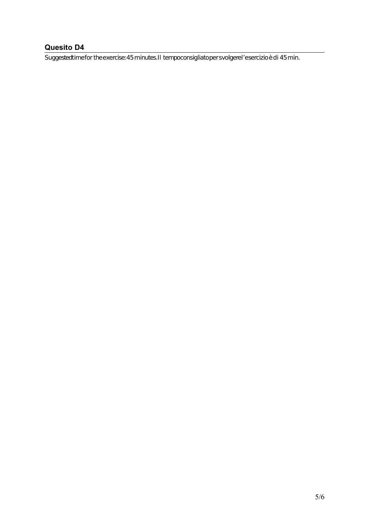Suggested time for the exercise: 45 minutes. Il tempo consigliato per svolgere l'esercizio è di 45 min.